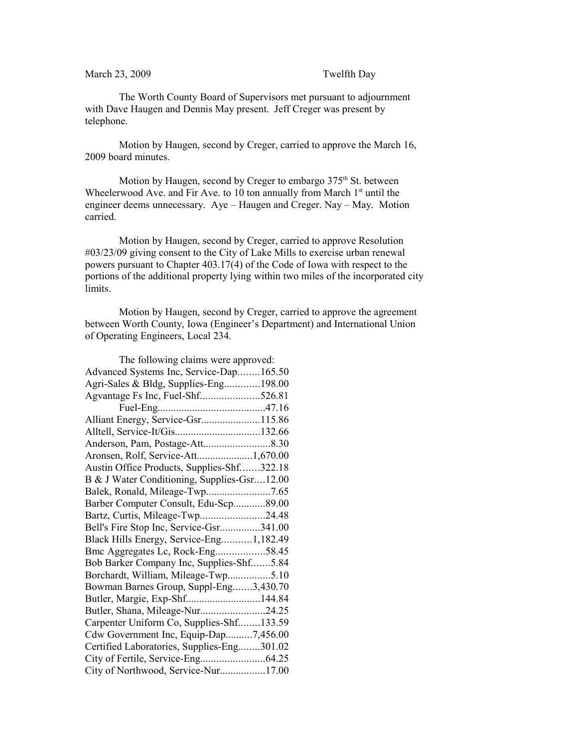## March 23, 2009 Twelfth Day

The Worth County Board of Supervisors met pursuant to adjournment with Dave Haugen and Dennis May present. Jeff Creger was present by telephone.

Motion by Haugen, second by Creger, carried to approve the March 16, 2009 board minutes.

Motion by Haugen, second by Creger to embargo 375<sup>th</sup> St. between Wheelerwood Ave. and Fir Ave. to 10 ton annually from March  $1<sup>st</sup>$  until the engineer deems unnecessary. Aye – Haugen and Creger. Nay – May. Motion carried.

Motion by Haugen, second by Creger, carried to approve Resolution #03/23/09 giving consent to the City of Lake Mills to exercise urban renewal powers pursuant to Chapter 403.17(4) of the Code of Iowa with respect to the portions of the additional property lying within two miles of the incorporated city limits.

Motion by Haugen, second by Creger, carried to approve the agreement between Worth County, Iowa (Engineer's Department) and International Union of Operating Engineers, Local 234.

| The following claims were approved:         |  |
|---------------------------------------------|--|
| Advanced Systems Inc, Service-Dap165.50     |  |
| Agri-Sales & Bldg, Supplies-Eng198.00       |  |
| Agvantage Fs Inc, Fuel-Shf526.81            |  |
|                                             |  |
| Alliant Energy, Service-Gsr115.86           |  |
| Alltell, Service-It/Gis132.66               |  |
|                                             |  |
| Aronsen, Rolf, Service-Att1,670.00          |  |
| Austin Office Products, Supplies-Shf322.18  |  |
| B & J Water Conditioning, Supplies-Gsr12.00 |  |
|                                             |  |
| Barber Computer Consult, Edu-Scp89.00       |  |
| Bartz, Curtis, Mileage-Twp24.48             |  |
| Bell's Fire Stop Inc, Service-Gsr341.00     |  |
| Black Hills Energy, Service-Eng1,182.49     |  |
| Bmc Aggregates Lc, Rock-Eng58.45            |  |
| Bob Barker Company Inc, Supplies-Shf5.84    |  |
| Borchardt, William, Mileage-Twp5.10         |  |
| Bowman Barnes Group, Suppl-Eng3,430.70      |  |
| Butler, Margie, Exp-Shf144.84               |  |
| Butler, Shana, Mileage-Nur24.25             |  |
| Carpenter Uniform Co, Supplies-Shf133.59    |  |
| Cdw Government Inc, Equip-Dap7,456.00       |  |
| Certified Laboratories, Supplies-Eng301.02  |  |
|                                             |  |
| City of Northwood, Service-Nur17.00         |  |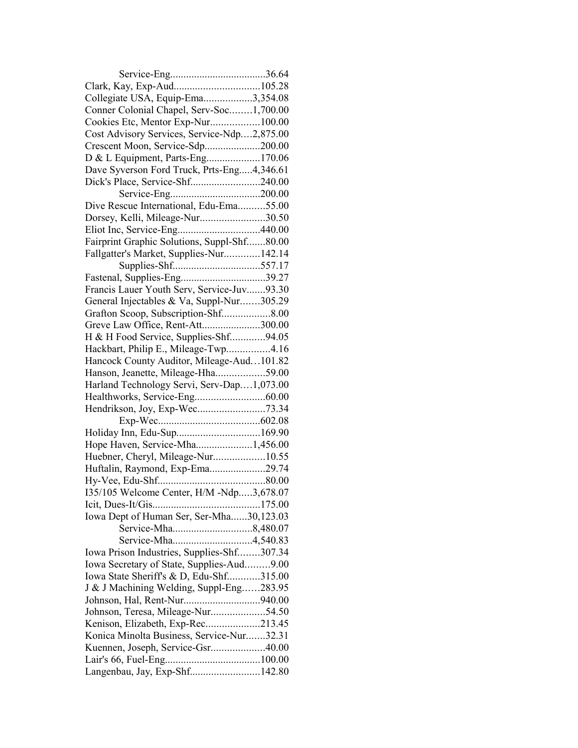| Clark, Kay, Exp-Aud105.28                   |  |
|---------------------------------------------|--|
| Collegiate USA, Equip-Ema3,354.08           |  |
| Conner Colonial Chapel, Serv-Soc1,700.00    |  |
| Cookies Etc, Mentor Exp-Nur100.00           |  |
| Cost Advisory Services, Service-Ndp2,875.00 |  |
| Crescent Moon, Service-Sdp200.00            |  |
| D & L Equipment, Parts-Eng170.06            |  |
| Dave Syverson Ford Truck, Prts-Eng4,346.61  |  |
| Dick's Place, Service-Shf240.00             |  |
|                                             |  |
| Dive Rescue International, Edu-Ema55.00     |  |
| Dorsey, Kelli, Mileage-Nur30.50             |  |
|                                             |  |
| Fairprint Graphic Solutions, Suppl-Shf80.00 |  |
| Fallgatter's Market, Supplies-Nur142.14     |  |
|                                             |  |
| Fastenal, Supplies-Eng39.27                 |  |
| Francis Lauer Youth Serv, Service-Juv93.30  |  |
| General Injectables & Va, Suppl-Nur305.29   |  |
|                                             |  |
| Greve Law Office, Rent-Att300.00            |  |
| H & H Food Service, Supplies-Shf94.05       |  |
| Hackbart, Philip E., Mileage-Twp4.16        |  |
| Hancock County Auditor, Mileage-Aud101.82   |  |
| Hanson, Jeanette, Mileage-Hha59.00          |  |
| Harland Technology Servi, Serv-Dap1,073.00  |  |
|                                             |  |
|                                             |  |
|                                             |  |
|                                             |  |
| Hope Haven, Service-Mha1,456.00             |  |
| Huebner, Cheryl, Mileage-Nur10.55           |  |
| Huftalin, Raymond, Exp-Ema29.74             |  |
|                                             |  |
| 135/105 Welcome Center, H/M -Ndp3,678.07    |  |
|                                             |  |
| Iowa Dept of Human Ser, Ser-Mha30,123.03    |  |
|                                             |  |
|                                             |  |
| Iowa Prison Industries, Supplies-Shf307.34  |  |
| Iowa Secretary of State, Supplies-Aud9.00   |  |
| Iowa State Sheriff's & D, Edu-Shf315.00     |  |
| J & J Machining Welding, Suppl-Eng283.95    |  |
| Johnson, Hal, Rent-Nur940.00                |  |
| Johnson, Teresa, Mileage-Nur54.50           |  |
| Kenison, Elizabeth, Exp-Rec213.45           |  |
| Konica Minolta Business, Service-Nur32.31   |  |
| Kuennen, Joseph, Service-Gsr40.00           |  |
|                                             |  |
| Langenbau, Jay, Exp-Shf142.80               |  |
|                                             |  |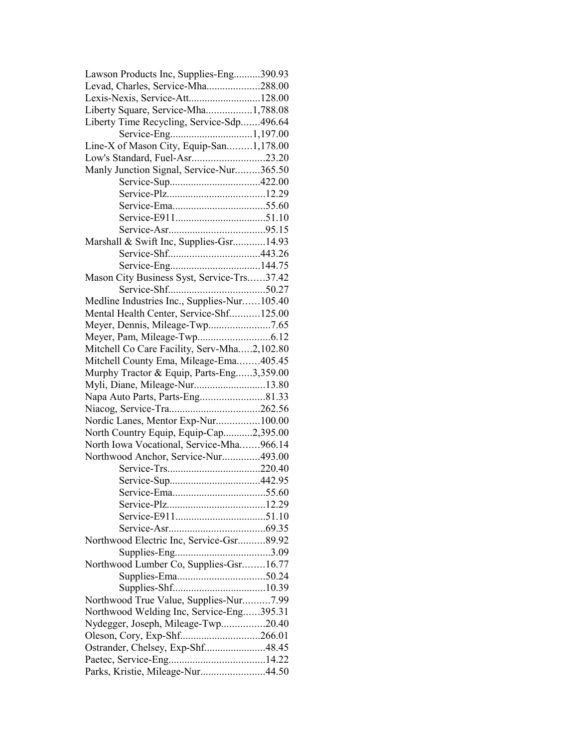| Lawson Products Inc, Supplies-Eng390.93     |  |
|---------------------------------------------|--|
| Levad, Charles, Service-Mha288.00           |  |
| Lexis-Nexis, Service-Att128.00              |  |
| Liberty Square, Service-Mha1,788.08         |  |
| Liberty Time Recycling, Service-Sdp496.64   |  |
|                                             |  |
| Line-X of Mason City, Equip-San1,178.00     |  |
| Low's Standard, Fuel-Asr23.20               |  |
| Manly Junction Signal, Service-Nur365.50    |  |
|                                             |  |
|                                             |  |
|                                             |  |
|                                             |  |
|                                             |  |
| Marshall & Swift Inc, Supplies-Gsr14.93     |  |
|                                             |  |
|                                             |  |
|                                             |  |
| Mason City Business Syst, Service-Trs37.42  |  |
|                                             |  |
| Medline Industries Inc., Supplies-Nur105.40 |  |
| Mental Health Center, Service-Shf125.00     |  |
| Meyer, Dennis, Mileage-Twp7.65              |  |
|                                             |  |
| Mitchell Co Care Facility, Serv-Mha2,102.80 |  |
| Mitchell County Ema, Mileage-Ema405.45      |  |
| Murphy Tractor & Equip, Parts-Eng3,359.00   |  |
| Myli, Diane, Mileage-Nur13.80               |  |
| Napa Auto Parts, Parts-Eng81.33             |  |
|                                             |  |
| Nordic Lanes, Mentor Exp-Nur100.00          |  |
| North Country Equip, Equip-Cap2,395.00      |  |
| North Iowa Vocational, Service-Mha966.14    |  |
| Northwood Anchor, Service-Nur493.00         |  |
|                                             |  |
|                                             |  |
|                                             |  |
|                                             |  |
|                                             |  |
|                                             |  |
| Northwood Electric Inc, Service-Gsr89.92    |  |
|                                             |  |
| Northwood Lumber Co, Supplies-Gsr16.77      |  |
|                                             |  |
|                                             |  |
|                                             |  |
| Northwood True Value, Supplies-Nur7.99      |  |
| Northwood Welding Inc, Service-Eng395.31    |  |
| Nydegger, Joseph, Mileage-Twp20.40          |  |
| Oleson, Cory, Exp-Shf266.01                 |  |
| Ostrander, Chelsey, Exp-Shf48.45            |  |
|                                             |  |
| Parks, Kristie, Mileage-Nur44.50            |  |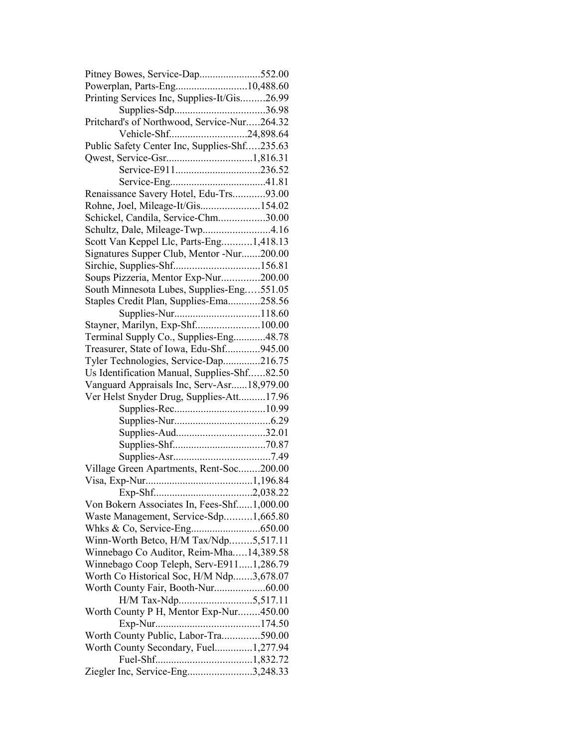| Pitney Bowes, Service-Dap552.00              |  |
|----------------------------------------------|--|
| Powerplan, Parts-Eng10,488.60                |  |
| Printing Services Inc, Supplies-It/Gis26.99  |  |
|                                              |  |
| Pritchard's of Northwood, Service-Nur264.32  |  |
| Vehicle-Shf24,898.64                         |  |
| Public Safety Center Inc, Supplies-Shf235.63 |  |
|                                              |  |
|                                              |  |
|                                              |  |
| Renaissance Savery Hotel, Edu-Trs93.00       |  |
| Rohne, Joel, Mileage-It/Gis154.02            |  |
| Schickel, Candila, Service-Chm30.00          |  |
| Schultz, Dale, Mileage-Twp4.16               |  |
| Scott Van Keppel Llc, Parts-Eng1,418.13      |  |
| Signatures Supper Club, Mentor -Nur200.00    |  |
|                                              |  |
| Soups Pizzeria, Mentor Exp-Nur200.00         |  |
| South Minnesota Lubes, Supplies-Eng551.05    |  |
| Staples Credit Plan, Supplies-Ema258.56      |  |
| Supplies-Nur118.60                           |  |
| Stayner, Marilyn, Exp-Shf100.00              |  |
| Terminal Supply Co., Supplies-Eng48.78       |  |
| Treasurer, State of Iowa, Edu-Shf945.00      |  |
| Tyler Technologies, Service-Dap216.75        |  |
| Us Identification Manual, Supplies-Shf82.50  |  |
| Vanguard Appraisals Inc, Serv-Asr18,979.00   |  |
| Ver Helst Snyder Drug, Supplies-Att17.96     |  |
|                                              |  |
|                                              |  |
|                                              |  |
|                                              |  |
|                                              |  |
| Village Green Apartments, Rent-Soc200.00     |  |
|                                              |  |
|                                              |  |
| Von Bokern Associates In, Fees-Shf1,000.00   |  |
| Waste Management, Service-Sdp1,665.80        |  |
|                                              |  |
| Winn-Worth Betco, H/M Tax/Ndp5,517.11        |  |
| Winnebago Co Auditor, Reim-Mha14,389.58      |  |
| Winnebago Coop Teleph, Serv-E9111,286.79     |  |
| Worth Co Historical Soc, H/M Ndp3,678.07     |  |
| Worth County Fair, Booth-Nur60.00            |  |
|                                              |  |
| Worth County P H, Mentor Exp-Nur450.00       |  |
|                                              |  |
| Worth County Public, Labor-Tra590.00         |  |
| Worth County Secondary, Fuel1,277.94         |  |
|                                              |  |
| Ziegler Inc, Service-Eng3,248.33             |  |